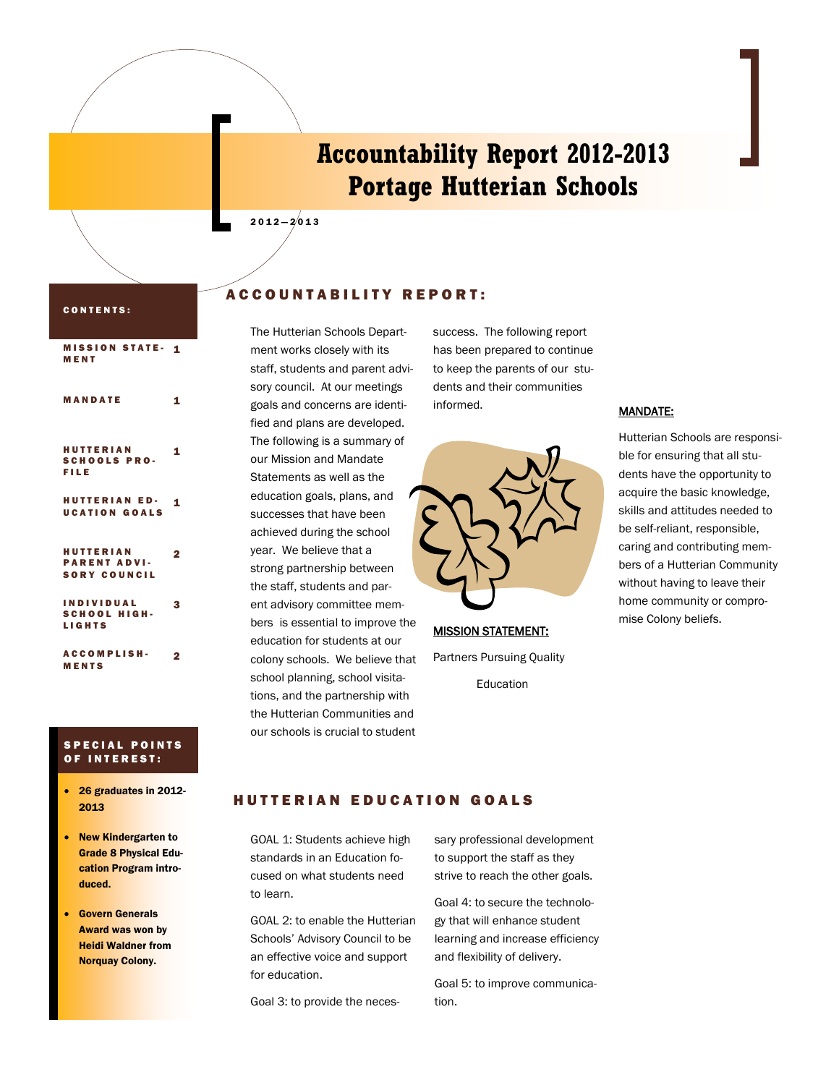## **Accountability Report 2012-2013 Portage Hutterian Schools**

#### CONTENTS:

| <b>MISSION STATE-</b><br>MENT                                  | 1                       |
|----------------------------------------------------------------|-------------------------|
| MANDATE                                                        | 1                       |
| <b>HUTTERIAN</b><br><b>SCHOOLS PRO-</b><br><b>FILE</b>         | 1                       |
| <b>HUTTERIAN ED-</b><br><b>UCATION GOALS</b>                   | 1                       |
| <b>HUTTERIAN</b><br><b>PARENT ADVI-</b><br><b>SORY COUNCIL</b> | $\overline{\mathbf{2}}$ |
| <b>INDIVIDUAL</b><br><b>SCHOOL HIGH-</b><br><b>LIGHTS</b>      | з                       |
| <b>ACCOMPLISH-</b><br><b>MENTS</b>                             | 2                       |

#### **SPECIAL POINTS** OF INTEREST:

- 26 graduates in 2012- 2013
- New Kindergarten to Grade 8 Physical Education Program introduced.
- Govern Generals Award was won by Heidi Waldner from Norquay Colony.

#### A C C O U N T A B I L I T Y R E P O R T :

 $2012 - 2013$ 

The Hutterian Schools Department works closely with its staff, students and parent advisory council. At our meetings goals and concerns are identified and plans are developed. The following is a summary of our Mission and Mandate Statements as well as the education goals, plans, and successes that have been achieved during the school year. We believe that a strong partnership between the staff, students and parent advisory committee members is essential to improve the education for students at our colony schools. We believe that school planning, school visitations, and the partnership with the Hutterian Communities and our schools is crucial to student

success. The following report has been prepared to continue to keep the parents of our students and their communities informed.



**MISSION STATEMENT:** Partners Pursuing Quality Education

#### MANDATE:

Hutterian Schools are responsible for ensuring that all students have the opportunity to acquire the basic knowledge, skills and attitudes needed to be self-reliant, responsible, caring and contributing members of a Hutterian Community without having to leave their home community or compromise Colony beliefs.

#### **HUTTERIAN EDUCATION GOALS**

GOAL 1: Students achieve high standards in an Education focused on what students need to learn.

GOAL 2: to enable the Hutterian Schools' Advisory Council to be an effective voice and support for education.

Goal 3: to provide the neces-

sary professional development to support the staff as they strive to reach the other goals.

Goal 4: to secure the technology that will enhance student learning and increase efficiency and flexibility of delivery.

Goal 5: to improve communication.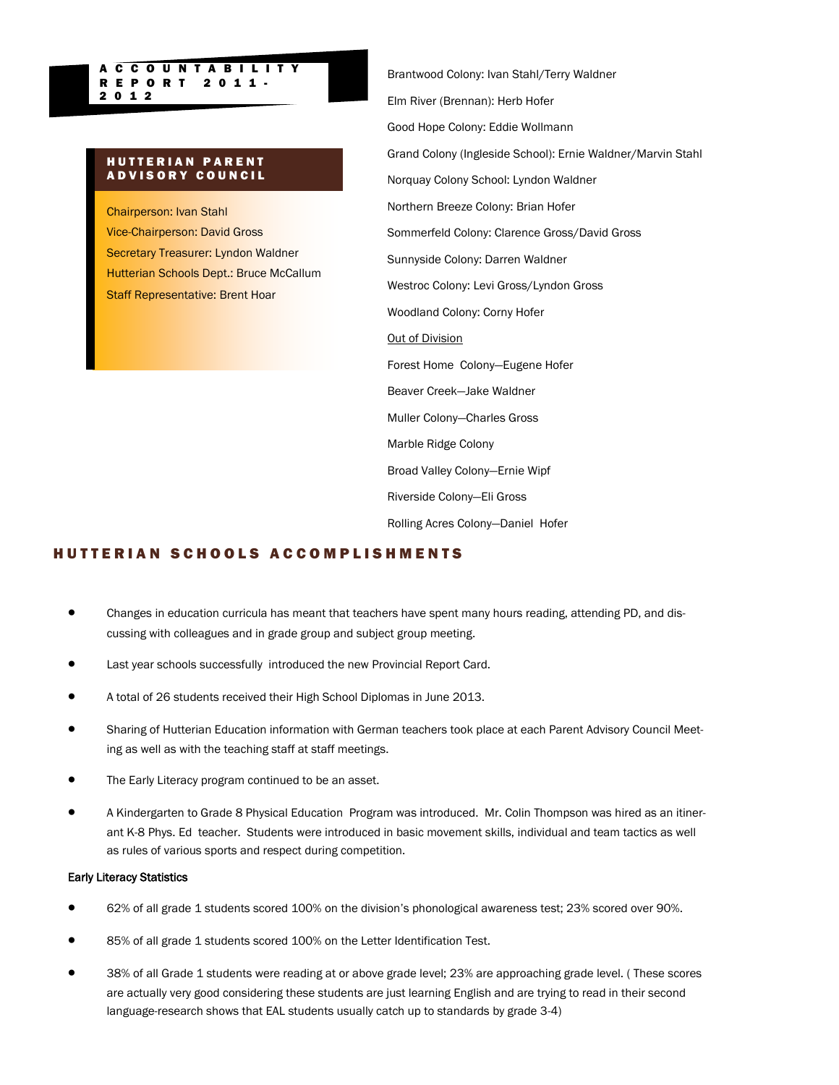## **HUTTERIAN PARENT** A D V I S O R Y C O U N C I L

2 0 1 2

A C C O U N T A B I L I T Y R E P O R T 2 0 1 1 -

Chairperson: Ivan Stahl Vice-Chairperson: David Gross Secretary Treasurer: Lyndon Waldner Hutterian Schools Dept.: Bruce McCallum Staff Representative: Brent Hoar

Brantwood Colony: Ivan Stahl/Terry Waldner Elm River (Brennan): Herb Hofer Good Hope Colony: Eddie Wollmann Grand Colony (Ingleside School): Ernie Waldner/Marvin Stahl Norquay Colony School: Lyndon Waldner Northern Breeze Colony: Brian Hofer Sommerfeld Colony: Clarence Gross/David Gross Sunnyside Colony: Darren Waldner Westroc Colony: Levi Gross/Lyndon Gross Woodland Colony: Corny Hofer Out of Division Forest Home Colony—Eugene Hofer Beaver Creek—Jake Waldner Muller Colony—Charles Gross Marble Ridge Colony Broad Valley Colony—Ernie Wipf Riverside Colony—Eli Gross Rolling Acres Colony—Daniel Hofer

#### H U T T E R I A N S C H O O L S A C C O M P L I S H M E N T S

- Changes in education curricula has meant that teachers have spent many hours reading, attending PD, and discussing with colleagues and in grade group and subject group meeting.
- Last year schools successfully introduced the new Provincial Report Card.
- A total of 26 students received their High School Diplomas in June 2013.
- Sharing of Hutterian Education information with German teachers took place at each Parent Advisory Council Meeting as well as with the teaching staff at staff meetings.
- The Early Literacy program continued to be an asset.
- A Kindergarten to Grade 8 Physical Education Program was introduced. Mr. Colin Thompson was hired as an itinerant K-8 Phys. Ed teacher. Students were introduced in basic movement skills, individual and team tactics as well as rules of various sports and respect during competition.

#### Early Literacy Statistics

- 62% of all grade 1 students scored 100% on the division's phonological awareness test; 23% scored over 90%.
- 85% of all grade 1 students scored 100% on the Letter Identification Test.
- 38% of all Grade 1 students were reading at or above grade level; 23% are approaching grade level. ( These scores are actually very good considering these students are just learning English and are trying to read in their second language-research shows that EAL students usually catch up to standards by grade 3-4)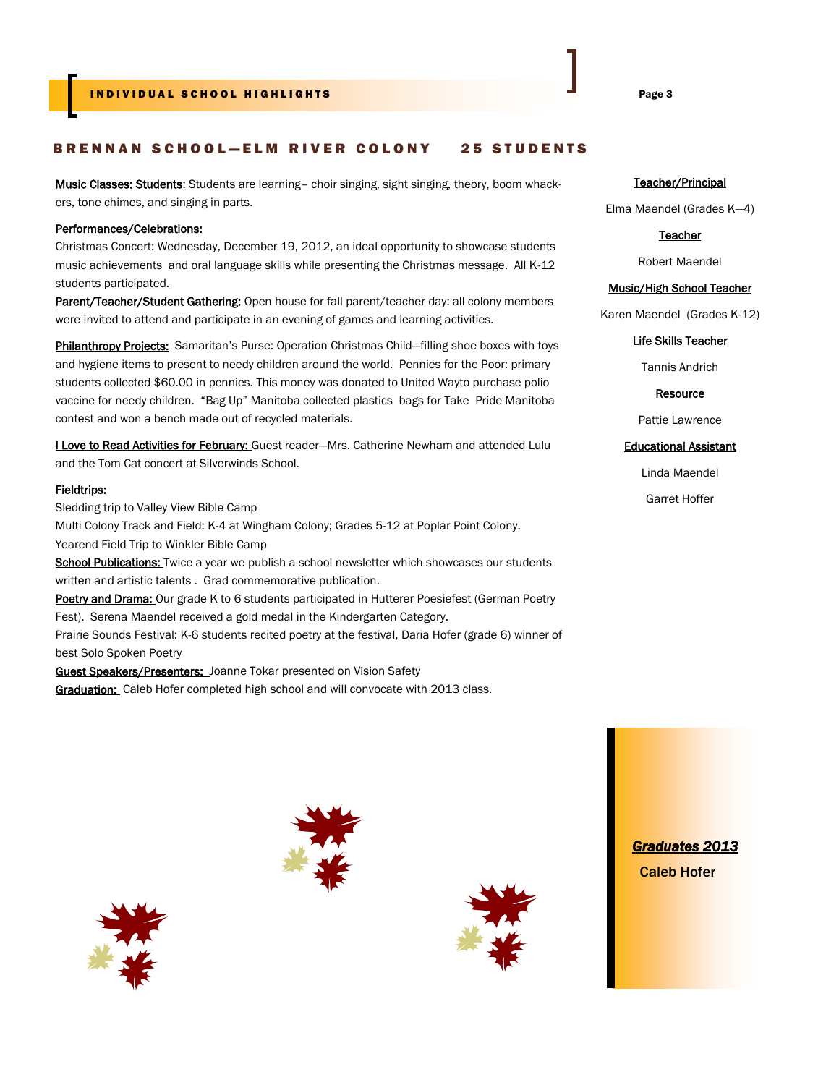#### IN DIVIDUAL SCHOOL HIGHLIGHTS AND DESCRIPTION OF THE PAGE 3

#### BRENNAN SCHOOL-ELM RIVER COLONY 25 STUDENTS

Music Classes: Students: Students are learning– choir singing, sight singing, theory, boom whackers, tone chimes, and singing in parts.

#### Performances/Celebrations:

Christmas Concert: Wednesday, December 19, 2012, an ideal opportunity to showcase students music achievements and oral language skills while presenting the Christmas message. All K-12 students participated.

Parent/Teacher/Student Gathering: Open house for fall parent/teacher day: all colony members were invited to attend and participate in an evening of games and learning activities.

Philanthropy Projects: Samaritan's Purse: Operation Christmas Child-filling shoe boxes with toys and hygiene items to present to needy children around the world. Pennies for the Poor: primary students collected \$60.00 in pennies. This money was donated to United Wayto purchase polio vaccine for needy children. "Bag Up" Manitoba collected plastics bags for Take Pride Manitoba contest and won a bench made out of recycled materials.

**I Love to Read Activities for February:** Guest reader-Mrs. Catherine Newham and attended Lulu and the Tom Cat concert at Silverwinds School.

#### Fieldtrips:

Sledding trip to Valley View Bible Camp

Multi Colony Track and Field: K-4 at Wingham Colony; Grades 5-12 at Poplar Point Colony. Yearend Field Trip to Winkler Bible Camp

School Publications: Twice a year we publish a school newsletter which showcases our students written and artistic talents . Grad commemorative publication.

Poetry and Drama: Our grade K to 6 students participated in Hutterer Poesiefest (German Poetry Fest). Serena Maendel received a gold medal in the Kindergarten Category.

Prairie Sounds Festival: K-6 students recited poetry at the festival, Daria Hofer (grade 6) winner of best Solo Spoken Poetry

Guest Speakers/Presenters: Joanne Tokar presented on Vision Safety

Graduation: Caleb Hofer completed high school and will convocate with 2013 class.

#### Teacher/Principal

Elma Maendel (Grades K—4)

#### **Teacher**

Robert Maendel

#### Music/High School Teacher

Karen Maendel (Grades K-12)

#### Life Skills Teacher

Tannis Andrich

**Resource** 

#### Pattie Lawrence

#### Educational Assistant

Linda Maendel

Garret Hoffer







*Graduates 2013*  Caleb Hofer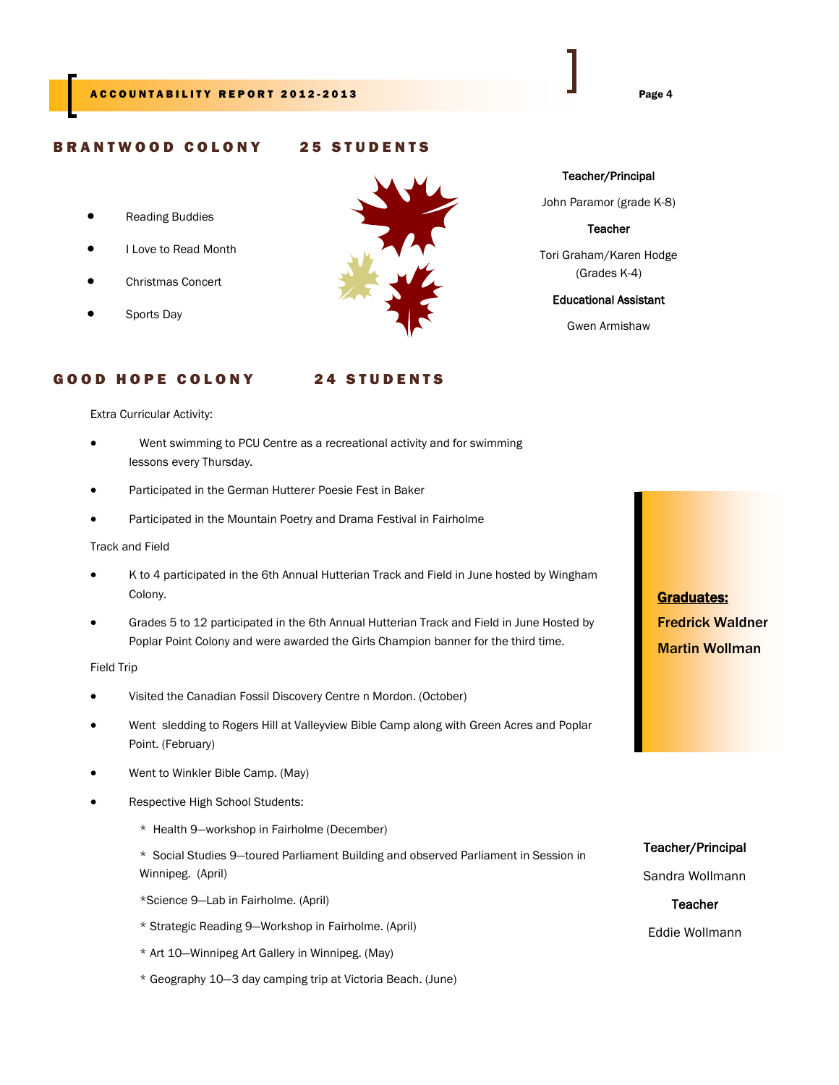#### BRANTWOOD COLONY 25 STUDENTS

- Reading Buddies
- I Love to Read Month
- Christmas Concert
- Sports Day



Teacher/Principal

John Paramor (grade K-8)

**Teacher** 

Tori Graham/Karen Hodge (Grades K-4)

#### Educational Assistant

Gwen Armishaw

#### GOOD HOPE COLONY 24 STUDENTS

Extra Curricular Activity:

- Went swimming to PCU Centre as a recreational activity and for swimming lessons every Thursday.
- Participated in the German Hutterer Poesie Fest in Baker
- Participated in the Mountain Poetry and Drama Festival in Fairholme

Track and Field

- K to 4 participated in the 6th Annual Hutterian Track and Field in June hosted by Wingham Colony.
- Grades 5 to 12 participated in the 6th Annual Hutterian Track and Field in June Hosted by Poplar Point Colony and were awarded the Girls Champion banner for the third time.

Field Trip

- Visited the Canadian Fossil Discovery Centre n Mordon. (October)
- Went sledding to Rogers Hill at Valleyview Bible Camp along with Green Acres and Poplar Point. (February)
- Went to Winkler Bible Camp. (May)
- Respective High School Students:
	- \* Health 9—workshop in Fairholme (December)
	- \* Social Studies 9—toured Parliament Building and observed Parliament in Session in Winnipeg. (April)

\*Science 9—Lab in Fairholme. (April)

- \* Strategic Reading 9—Workshop in Fairholme. (April)
- \* Art 10—Winnipeg Art Gallery in Winnipeg. (May)
- \* Geography 10—3 day camping trip at Victoria Beach. (June)

Graduates: Fredrick Waldner Martin Wollman

#### Teacher/Principal

Sandra Wollmann

**Teacher** Eddie Wollmann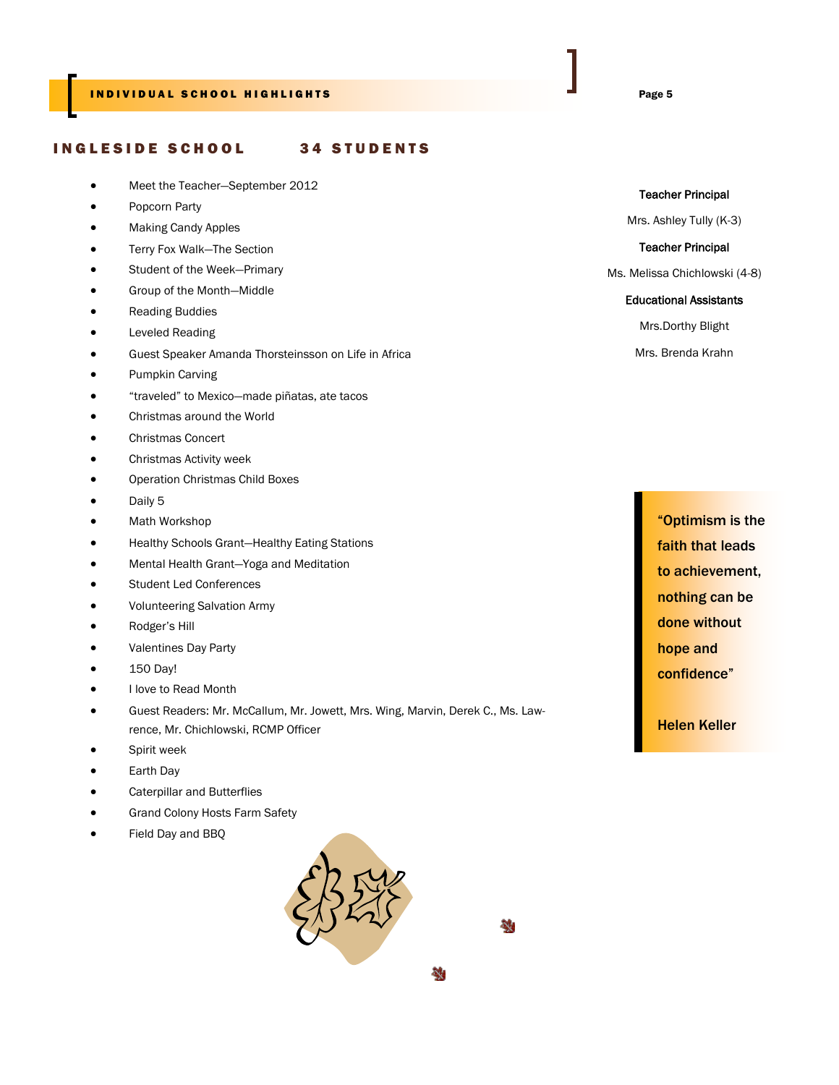#### INGLESIDE SCHOOL 34 STUDENTS

- Meet the Teacher—September 2012
- Popcorn Party
- Making Candy Apples
- Terry Fox Walk—The Section
- Student of the Week—Primary
- Group of the Month—Middle
- Reading Buddies
- Leveled Reading
- Guest Speaker Amanda Thorsteinsson on Life in Africa
- Pumpkin Carving
- "traveled" to Mexico—made piñatas, ate tacos
- Christmas around the World
- Christmas Concert
- Christmas Activity week
- Operation Christmas Child Boxes
- Daily 5
- Math Workshop
- Healthy Schools Grant—Healthy Eating Stations
- Mental Health Grant—Yoga and Meditation
- Student Led Conferences
- Volunteering Salvation Army
- Rodger's Hill
- Valentines Day Party
- 150 Day!
- I love to Read Month
- Guest Readers: Mr. McCallum, Mr. Jowett, Mrs. Wing, Marvin, Derek C., Ms. Lawrence, Mr. Chichlowski, RCMP Officer
- Spirit week
- Earth Day
- Caterpillar and Butterflies
- Grand Colony Hosts Farm Safety
- Field Day and BBQ



鵱

袖

#### Teacher Principal

Mrs. Ashley Tully (K-3)

Teacher Principal

Ms. Melissa Chichlowski (4-8)

#### Educational Assistants

Mrs.Dorthy Blight

Mrs. Brenda Krahn

"Optimism is the faith that leads to achievement, nothing can be done without hope and confidence"

Helen Keller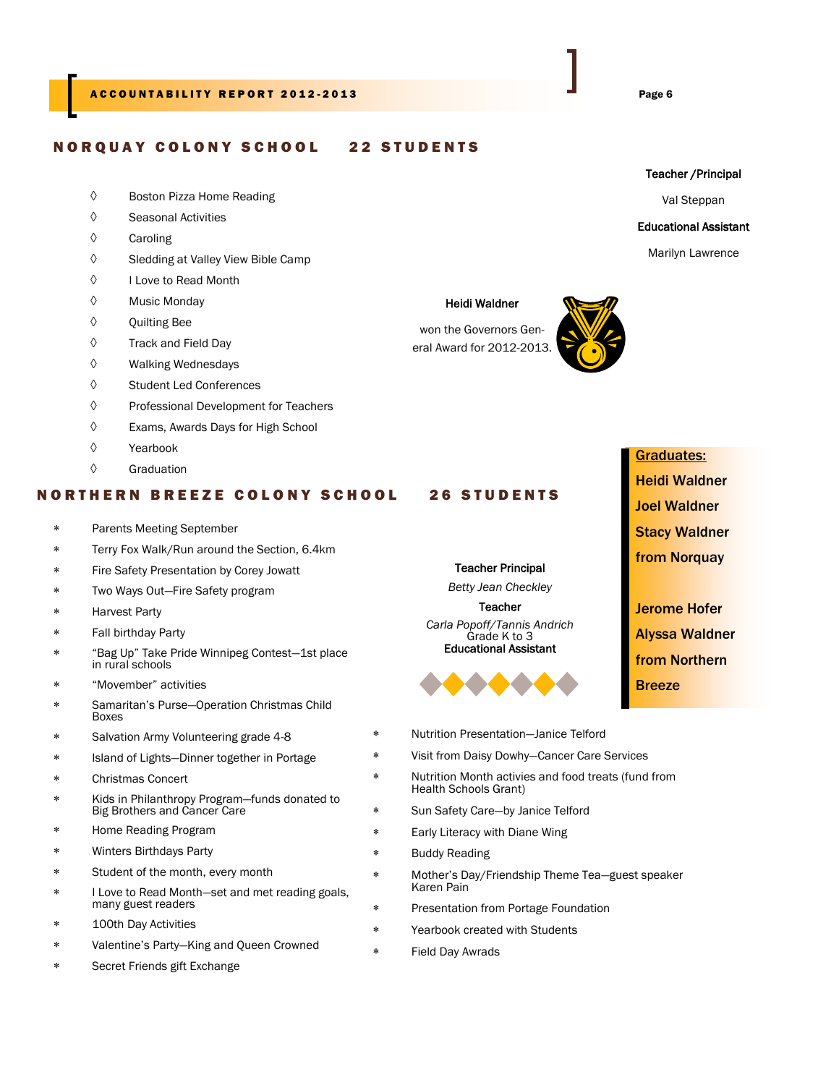#### N O R Q U A Y COLONY SCHOOL 22 STUDENTS

- Boston Pizza Home Reading
- Seasonal Activities
- $\Diamond$  Caroling
- $\Diamond$  Sledding at Valley View Bible Camp
- I Love to Read Month
- $\Diamond$  Music Monday
- $\Diamond$  Quilting Bee
- Track and Field Day
- Walking Wednesdays
- Student Led Conferences
- Professional Development for Teachers
- Exams, Awards Days for High School
- Yearbook
- $\Diamond$  Graduation

#### **NORTHERN BREEZE COLONY SCHOOL 26 STUDENTS**

- Parents Meeting September
- Terry Fox Walk/Run around the Section, 6.4km
- Fire Safety Presentation by Corey Jowatt
- Two Ways Out—Fire Safety program
- Harvest Party
- Fall birthday Party
- "Bag Up" Take Pride Winnipeg Contest—1st place in rural schools
- "Movember" activities
- Samaritan's Purse—Operation Christmas Child Boxes
- Salvation Army Volunteering grade 4-8
- Island of Lights—Dinner together in Portage
- Christmas Concert
- Kids in Philanthropy Program—funds donated to Big Brothers and Cancer Care
- Home Reading Program
- Winters Birthdays Party
- Student of the month, every month
- I Love to Read Month—set and met reading goals, many guest readers
- 100th Day Activities
- Valentine's Party—King and Queen Crowned
- Secret Friends gift Exchange

#### Heidi Waldner

won the Governors General Award for 2012-2013.



# Graduates: Heidi Waldner Joel Waldner Stacy Waldner from Norquay Jerome Hofer

**Breeze** 

Nutrition Presentation—Janice Telford

Teacher Principal *Betty Jean Checkley* **Teacher** *Carla Popoff/Tannis Andrich* Grade K to 3 Educational Assistant

- Visit from Daisy Dowhy—Cancer Care Services
- Nutrition Month activies and food treats (fund from Health Schools Grant)
	- Sun Safety Care—by Janice Telford
- Early Literacy with Diane Wing
	- Buddy Reading
- Mother's Day/Friendship Theme Tea—guest speaker Karen Pain
	- Presentation from Portage Foundation
- Yearbook created with Students
- Field Day Awrads

Alyssa Waldner from Northern

Marilyn Lawrence

Teacher /Principal Val Steppan Educational Assistant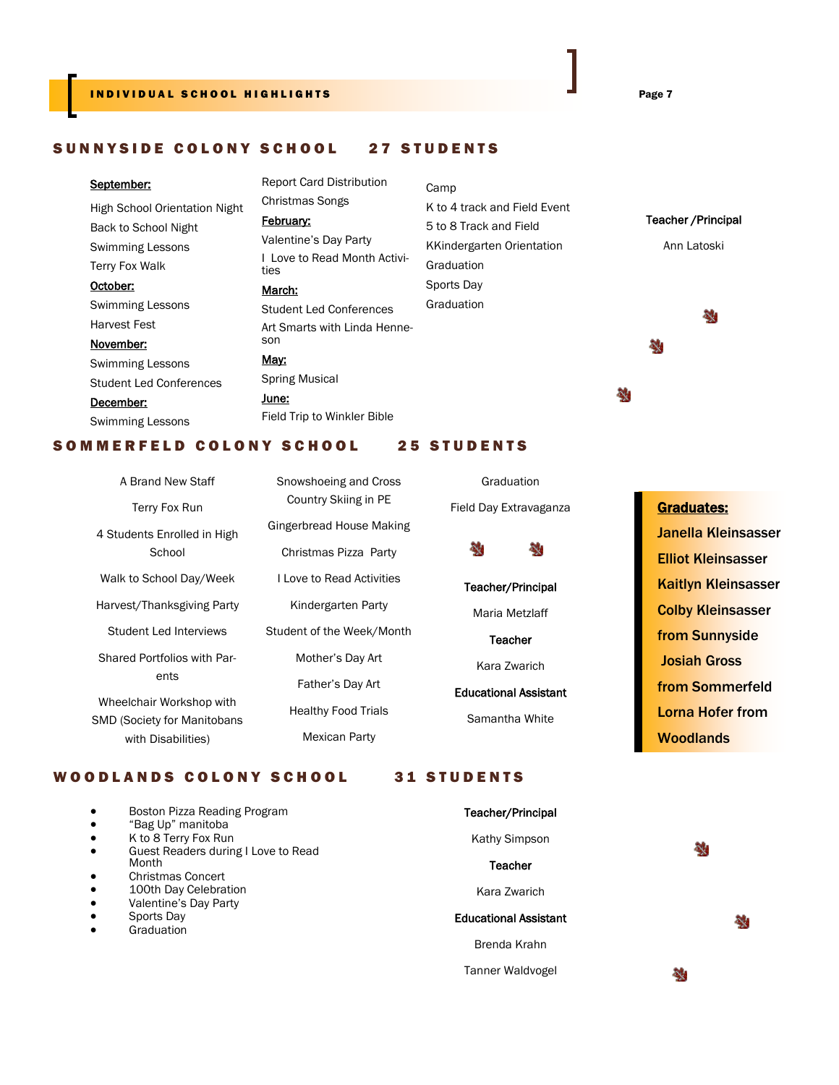#### SUNNYSIDE COLONY SCHOOL 27 STUDENTS

#### September:

High School Orientation Night Back to School Night Swimming Lessons Terry Fox Walk October: Swimming Lessons Harvest Fest November:

### Swimming Lessons Student Led Conferences December: Swimming Lessons

February: Valentine's Day Party I Love to Read Month Activities March:

Report Card Distribution

Christmas Songs

#### Student Led Conferences Art Smarts with Linda Henneson May: Spring Musical June: Field Trip to Winkler Bible

Camp K to 4 track and Field Event 5 to 8 Track and Field KKindergarten Orientation **Graduation** Sports Day Graduation

> Graduation Field Day Extravaganza

Teacher/Principal Maria Metzlaff **Teacher** Kara Zwarich Educational Assistant Samantha White

鵱

4,

Teacher /Principal Ann Latoski

쵛

5٤

鵱

#### SOMMERFELD COLONY SCHOOL 25 STUDENTS

| A Brand New Staff                     | Snowshoeing and Cross     |  |
|---------------------------------------|---------------------------|--|
| Terry Fox Run                         | Country Skiing in PE      |  |
| 4 Students Enrolled in High<br>School | Gingerbread House Making  |  |
|                                       | Christmas Pizza Party     |  |
| Walk to School Day/Week               | I Love to Read Activities |  |
| Harvest/Thanksgiving Party            | Kindergarten Party        |  |
| Student Led Interviews                | Student of the Week/Month |  |
| Shared Portfolios with Par-<br>ents   | Mother's Day Art          |  |
|                                       | Father's Day Art          |  |
| Wheelchair Workshop with              | Healthy Food Trials       |  |
| <b>SMD (Society for Manitobans</b>    |                           |  |
| with Disabilities)                    | Mexican Party             |  |

#### WOODLANDS COLONY SCHOOL 31 STUDENTS

#### Boston Pizza Reading Program Teacher/Principal "Bag Up" manitoba K to 8 Terry Fox Run Kathy Simpson 劲 Guest Readers during I Love to Read Month **Teacher**  Christmas Concert 100th Day Celebration Kara Zwarich Valentine's Day Party Sports Day Educational Assistant a, **Graduation** Brenda Krahn Tanner Waldvogel 4

#### Graduates:

Janella Kleinsasser Elliot Kleinsasser Kaitlyn Kleinsasser **Colby Kleinsasser** from Sunnyside Josiah Gross from Sommerfeld Lorna Hofer from **Woodlands**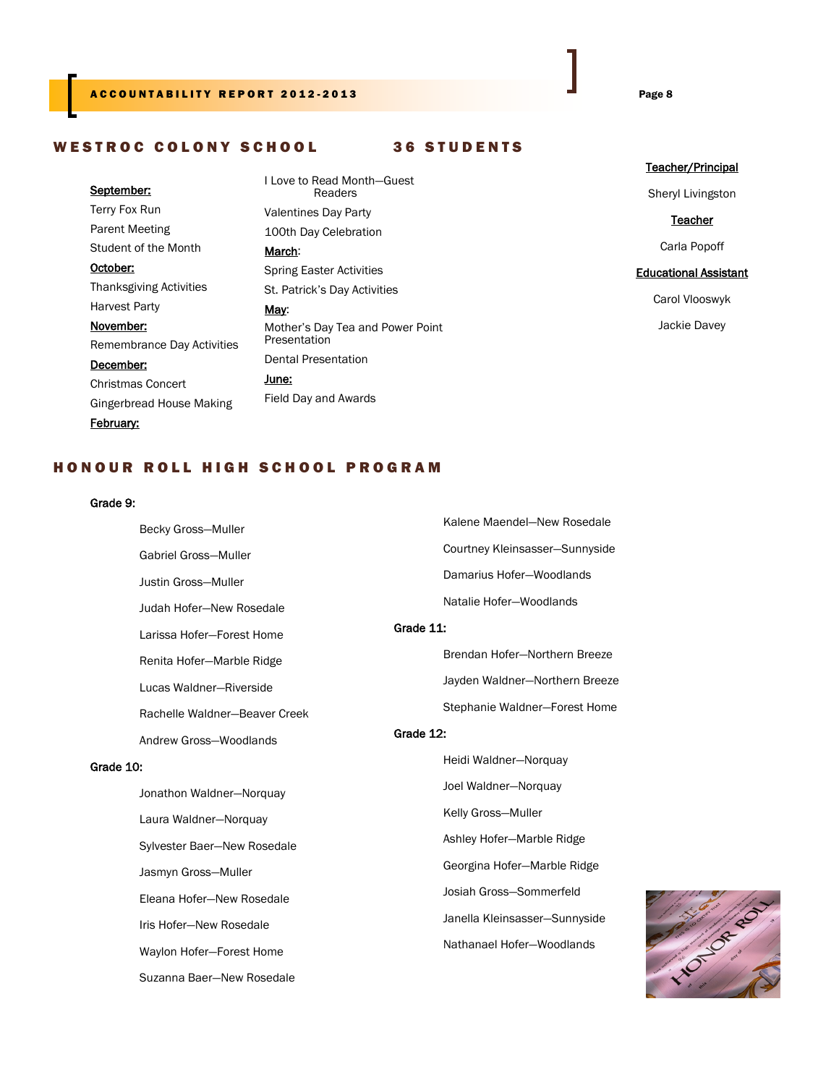#### A C COUNTABILITY REPORT 2012-2013 **Example 2012** Page 8

#### WESTROC COLONY SCHOOL 36 STUDENTS

#### September:

Terry Fox Run Parent Meeting Student of the Month October: Thanksgiving Activities Harvest Party November: Remembrance Day Activities December: Christmas Concert Gingerbread House Making February:

I Love to Read Month—Guest Readers Valentines Day Party 100th Day Celebration March: Spring Easter Activities St. Patrick's Day Activities May: Mother's Day Tea and Power Point **Presentation** Dental Presentation June: Field Day and Awards

#### Teacher/Principal

Sheryl Livingston

**Teacher** 

Carla Popoff

#### Educational Assistant

Carol Vlooswyk

Jackie Davey

#### H O N O U R R O L L H I G H S C H O O L P R O G R A M

#### Grade 9:

Becky Gross—Muller Gabriel Gross—Muller Justin Gross—Muller Judah Hofer—New Rosedale Larissa Hofer—Forest Home Renita Hofer—Marble Ridge Lucas Waldner—Riverside Rachelle Waldner—Beaver Creek Andrew Gross—Woodlands

#### Grade 10:

 Jonathon Waldner—Norquay Laura Waldner—Norquay Sylvester Baer—New Rosedale Jasmyn Gross—Muller Eleana Hofer—New Rosedale Iris Hofer—New Rosedale Waylon Hofer—Forest Home Suzanna Baer—New Rosedale

Kalene Maendel—New Rosedale Courtney Kleinsasser—Sunnyside Damarius Hofer—Woodlands Natalie Hofer—Woodlands

#### Grade 11:

Brendan Hofer—Northern Breeze Jayden Waldner—Northern Breeze Stephanie Waldner—Forest Home

#### Grade 12:

 Heidi Waldner—Norquay Joel Waldner—Norquay Kelly Gross—Muller Ashley Hofer—Marble Ridge Georgina Hofer—Marble Ridge Josiah Gross—Sommerfeld Janella Kleinsasser—Sunnyside Nathanael Hofer—Woodlands